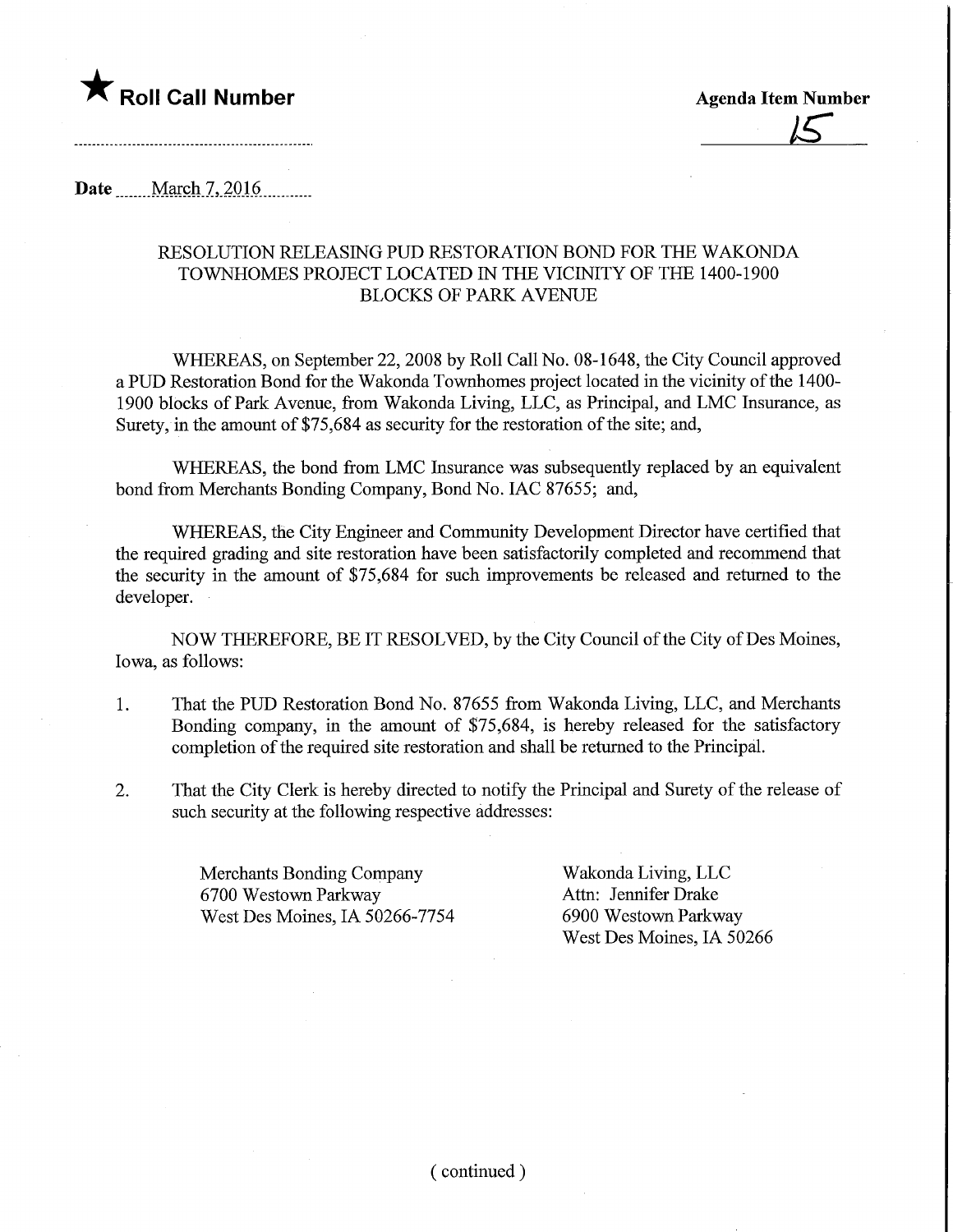

Date March 7, 2016

## RESOLUTION RELEASING PUD RESTORATION BOND FOR THE WAKONDA TOWNHOMES PROJECT LOCATED IN THE VICINITY OF THE 1400-1900 BLOCKS OF PARK AVENUE

WHEREAS, on September 22, 2008 by Roll Call No. 08-1648, the City Council approved a PUD Restoration Bond for the Wakonda Townhomes project located in the vicinity of the 1400- 1900 blocks of Park Avenue, from Wakonda Living, LLC, as Principal, and LMC Insurance, as Surety, in the amount of \$75,684 as security for the restoration of the site; and,

WHEREAS, the bond from LMC Insurance was subsequently replaced by an equivalent bond from Merchants Bonding Company, Bond No. IAC 87655; and,

WHEREAS, the City Engineer and Community Development Director have certified that the required grading and site restoration have been satisfactorily completed and recommend that the security in the amount of \$75,684 for such improvements be released and returned to the developer.

NOW THEREFORE, BE IT RESOLVED, by the City Council of the City of Des Moines, Iowa, as follows:

- 1. That the PUD Restoration Bond No. 87655 from Wakonda Living, LLC, and Merchants Bonding company, in the amount of \$75,684, is hereby released for the satisfactory completion of the required site restoration and shall be returned to the Principal.
- 2. That the City Clerk is hereby directed to notify the Principal and Surety of the release of such security at the following respective addresses:

Merchants Bonding Company Wakonda Living, LLC 6700 Westown Parkway Attn: Jennifer Drake West Des Moines, IA 50266-7754 6900 Westown Parkway

West Des Moines, IA 50266